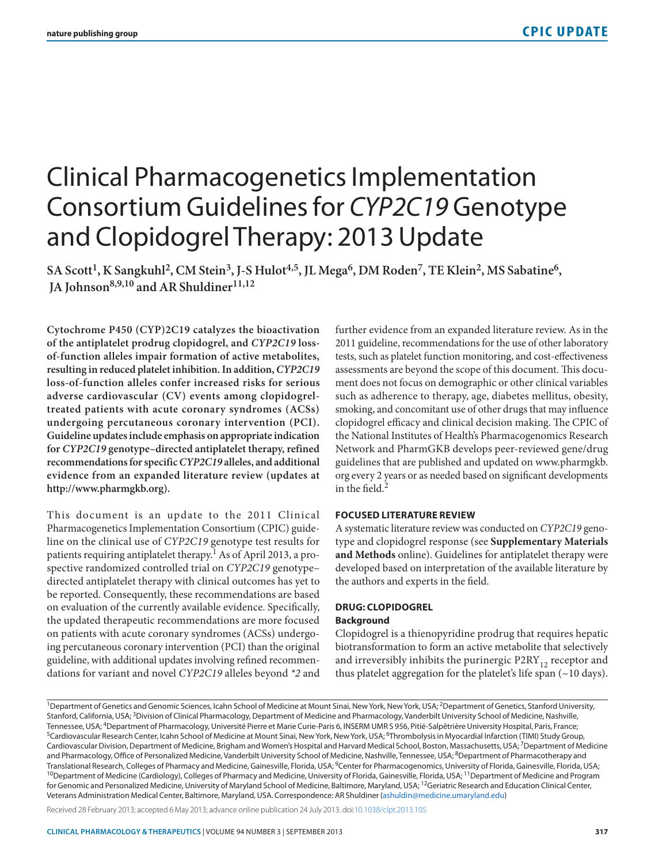# Clinical Pharmacogenetics Implementation Consortium Guidelines for *CYP2C19* Genotype and Clopidogrel Therapy: 2013 Update

SA Scott<sup>1</sup>, K Sangkuhl<sup>2</sup>, CM Stein<sup>3</sup>, J-S Hulot<sup>4,5</sup>, JL Mega<sup>6</sup>, DM Roden<sup>7</sup>, TE Klein<sup>2</sup>, MS Sabatine<sup>6</sup>,  **JA Johnson8,9,10 and AR Shuldiner11,12**

**Cytochrome P450 (CYP)2C19 catalyzes the bioactivation of the antiplatelet prodrug clopidogrel, and** *CYP2C19* **lossof-function alleles impair formation of active metabolites, resulting in reduced platelet inhibition. In addition,** *CYP2C19* **loss-of-function alleles confer increased risks for serious adverse cardiovascular (CV) events among clopidogreltreated patients with acute coronary syndromes (ACSs) undergoing percutaneous coronary intervention (PCI). Guideline updates include emphasis on appropriate indication for** *CYP2C19* **genotype–directed antiplatelet therapy, refined recommendations for specific** *CYP2C19* **alleles, and additional evidence from an expanded literature review (updates at <http://www.pharmgkb.org>).**

This document is an update to the 2011 Clinical Pharmacogenetics Implementation Consortium (CPIC) guideline on the clinical use of *CYP2C19* genotype test results for patients requiring antiplatelet therapy.<sup>1</sup> As of April 2013, a prospective randomized controlled trial on *CYP2C19* genotype– directed antiplatelet therapy with clinical outcomes has yet to be reported. Consequently, these recommendations are based on evaluation of the currently available evidence. Specifically, the updated therapeutic recommendations are more focused on patients with acute coronary syndromes (ACSs) undergoing percutaneous coronary intervention (PCI) than the original guideline, with additional updates involving refined recommendations for variant and novel *CYP2C19* alleles beyond *\*2* and

further evidence from an expanded literature review. As in the 2011 guideline, recommendations for the use of other laboratory tests, such as platelet function monitoring, and cost-effectiveness assessments are beyond the scope of this document. This document does not focus on demographic or other clinical variables such as adherence to therapy, age, diabetes mellitus, obesity, smoking, and concomitant use of other drugs that may influence clopidogrel efficacy and clinical decision making. The CPIC of the National Institutes of Health's Pharmacogenomics Research Network and PharmGKB develops peer-reviewed gene/drug guidelines that are published and updated on [www.pharmgkb.](www.pharmgkb.org) [org](www.pharmgkb.org) every 2 years or as needed based on significant developments in the field.<sup>2</sup>

#### **FOCUSED LITERATURE REVIEW**

A systematic literature review was conducted on *CYP2C19* genotype and clopidogrel response (see **Supplementary Materials and Methods** online). Guidelines for antiplatelet therapy were developed based on interpretation of the available literature by the authors and experts in the field.

# **DRUG: CLOPIDOGREL**

# **Background**

Clopidogrel is a thienopyridine prodrug that requires hepatic biotransformation to form an active metabolite that selectively and irreversibly inhibits the purinergic  $P2RY_{12}$  receptor and thus platelet aggregation for the platelet's life span (~10 days).

Received 28 February 2013; accepted 6 May 2013; advance online publication 24 July 2013. doi[:10.1038/clpt.2013.105](http://www.nature.com/doifinder/10.1038/clpt.2013.105)

<sup>&</sup>lt;sup>1</sup>Department of Genetics and Genomic Sciences, Icahn School of Medicine at Mount Sinai, New York, New York, USA; <sup>2</sup>Department of Genetics, Stanford University, Stanford, California, USA;<sup>3</sup>Division of Clinical Pharmacology, Department of Medicine and Pharmacology, Vanderbilt University School of Medicine, Nashville, Tennessee, USA; <sup>4</sup>Department of Pharmacology, Université Pierre et Marie Curie-Paris 6, INSERM UMR S 956, Pitié-Salpêtrière University Hospital, Paris, France;<br><sup>5</sup>Cardiovascular Research Center, Icahn School of Medicine a Cardiovascular Division, Department of Medicine, Brigham and Women's Hospital and Harvard Medical School, Boston, Massachusetts, USA; 7Department of Medicine and Pharmacology, Office of Personalized Medicine, Vanderbilt University School of Medicine, Nashville, Tennessee, USA; <sup>8</sup>Department of Pharmacotherapy and Translational Research, Colleges of Pharmacy and Medicine, Gainesville, Florida, USA; <sup>9</sup>Center for Pharmacogenomics, University of Florida, Gainesville, Florida, USA;<br><sup>10</sup>Department of Medicine (Cardiology), Colleges of P for Genomic and Personalized Medicine, University of Maryland School of Medicine, Baltimore, Maryland, USA; <sup>12</sup>Geriatric Research and Education Clinical Center, Veterans Administration Medical Center, Baltimore, Maryland, USA. Correspondence: AR Shuldiner [\(ashuldin@medicine.umaryland.edu](mailto:ashuldin@medicine.umaryland.edu))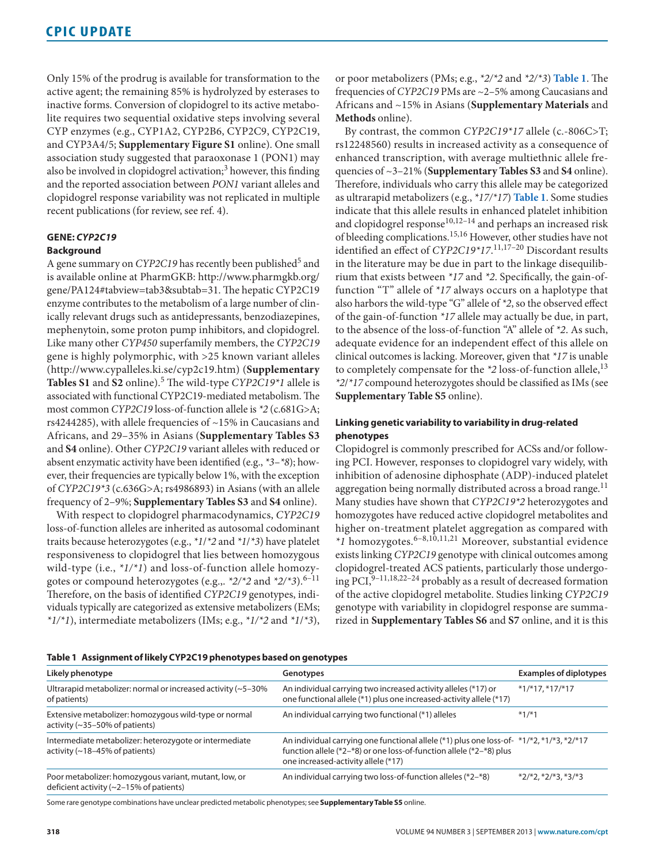Only 15% of the prodrug is available for transformation to the active agent; the remaining 85% is hydrolyzed by esterases to inactive forms. Conversion of clopidogrel to its active metabolite requires two sequential oxidative steps involving several CYP enzymes (e.g., CYP1A2, CYP2B6, CYP2C9, CYP2C19, and CYP3A4/5; **Supplementary Figure S1** online). One small association study suggested that paraoxonase 1 (PON1) may also be involved in clopidogrel activation;<sup>3</sup> however, this finding and the reported association between *PON1* variant alleles and clopidogrel response variability was not replicated in multiple recent publications (for review, see ref. 4).

# **GENE:** *CYP2C19*

## **Background**

A gene summary on *CYP2C19* has recently been published<sup>5</sup> and is available online at PharmGKB: [http://www.pharmgkb.org/](http://www.pharmgkb.org/gene/PA124#tabview=tab3&subtab=31) [gene/PA124#tabview=tab3&subtab=31](http://www.pharmgkb.org/gene/PA124#tabview=tab3&subtab=31). The hepatic CYP2C19 enzyme contributes to the metabolism of a large number of clinically relevant drugs such as antidepressants, benzodiazepines, mephenytoin, some proton pump inhibitors, and clopidogrel. Like many other *CYP450* superfamily members, the *CYP2C19* gene is highly polymorphic, with >25 known variant alleles [\(http://www.cypalleles.ki.se/cyp2c19.htm](http://www.cypalleles.ki.se/cyp2c19.htm)) (**Supplementary Tables S1** and **S2** online).5 The wild-type *CYP2C19\*1* allele is associated with functional CYP2C19-mediated metabolism. The most common *CYP2C19* loss-of-function allele is *\*2* (c.681G>A; rs4244285), with allele frequencies of ~15% in Caucasians and Africans, and 29–35% in Asians (**Supplementary Tables S3**  and **S4** online). Other *CYP2C19* variant alleles with reduced or absent enzymatic activity have been identified (e.g., *\*3*–*\*8*); however, their frequencies are typically below 1%, with the exception of *CYP2C19\*3* (c.636G>A; rs4986893) in Asians (with an allele frequency of 2–9%; **Supplementary Tables S3** and **S4** online).

With respect to clopidogrel pharmacodynamics, *CYP2C19* loss-of-function alleles are inherited as autosomal codominant traits because heterozygotes (e.g., *\*1*/*\*2* and *\*1*/*\*3*) have platelet responsiveness to clopidogrel that lies between homozygous wild-type (i.e., *\*1/\*1*) and loss-of-function allele homozygotes or compound heterozygotes (e.g.,. *\*2/\*2* and *\*2/\*3*).6–11 Therefore, on the basis of identified *CYP2C19* genotypes, individuals typically are categorized as extensive metabolizers (EMs; *\*1/\*1*), intermediate metabolizers (IMs; e.g., *\*1/\*2* and *\*1*/*\*3*), or poor metabolizers (PMs; e.g., *\*2/\*2* and *\*2/\*3*) **[Table 1](#page-2-0)**. The frequencies of *CYP2C19* PMs are ~2–5% among Caucasians and Africans and ~15% in Asians (**Supplementary Materials** and **Methods** online).

By contrast, the common *CYP2C19\*17* allele (c.-806C>T; rs12248560) results in increased activity as a consequence of enhanced transcription, with average multiethnic allele frequencies of ~3–21% (**Supplementary Tables S3** and **S4** online). Therefore, individuals who carry this allele may be categorized as ultrarapid metabolizers (e.g., *\*17/\*17*) **[Table 1](#page-2-0)**. Some studies indicate that this allele results in enhanced platelet inhibition and clopidogrel response<sup>10,12-14</sup> and perhaps an increased risk of bleeding complications.15,16 However, other studies have not identified an effect of *CYP2C19\*17*. 11,17–20 Discordant results in the literature may be due in part to the linkage disequilibrium that exists between *\*17* and *\*2*. Specifically, the gain-offunction "T" allele of *\*17* always occurs on a haplotype that also harbors the wild-type "G" allele of *\*2*, so the observed effect of the gain-of-function *\*17* allele may actually be due, in part, to the absence of the loss-of-function "A" allele of *\*2*. As such, adequate evidence for an independent effect of this allele on clinical outcomes is lacking. Moreover, given that *\*17* is unable to completely compensate for the *\*2* loss-of-function allele,13 *\*2*/*\*17* compound heterozygotes should be classified as IMs (see **Supplementary Table S5** online).

# **Linking genetic variability to variability in drug-related phenotypes**

Clopidogrel is commonly prescribed for ACSs and/or following PCI. However, responses to clopidogrel vary widely, with inhibition of adenosine diphosphate (ADP)-induced platelet aggregation being normally distributed across a broad range.<sup>11</sup> Many studies have shown that *CYP2C19\*2* heterozygotes and homozygotes have reduced active clopidogrel metabolites and higher on-treatment platelet aggregation as compared with *\*1* homozygotes.6–8,10,11,21 Moreover, substantial evidence exists linking *CYP2C19* genotype with clinical outcomes among clopidogrel-treated ACS patients, particularly those undergoing PCI, <sup>9-11,18,22-24</sup> probably as a result of decreased formation of the active clopidogrel metabolite. Studies linking *CYP2C19* genotype with variability in clopidogrel response are summarized in **Supplementary Tables S6** and **S7** online, and it is this

<span id="page-1-0"></span>

|  |  |  |  | Table 1 Assignment of likely CYP2C19 phenotypes based on genotypes |
|--|--|--|--|--------------------------------------------------------------------|
|--|--|--|--|--------------------------------------------------------------------|

| Likely phenotype                                                                                    | Genotypes                                                                                                                                                                                              | <b>Examples of diplotypes</b> |  |  |  |
|-----------------------------------------------------------------------------------------------------|--------------------------------------------------------------------------------------------------------------------------------------------------------------------------------------------------------|-------------------------------|--|--|--|
| Ultrarapid metabolizer: normal or increased activity $(-5-30\%)$<br>of patients)                    | An individual carrying two increased activity alleles (*17) or<br>one functional allele (*1) plus one increased-activity allele (*17)                                                                  | $*1/*17.*17/*17$              |  |  |  |
| Extensive metabolizer: homozygous wild-type or normal<br>activity $(\sim]35-50\%$ of patients)      | An individual carrying two functional (*1) alleles                                                                                                                                                     | $*1/*1$                       |  |  |  |
| Intermediate metabolizer: heterozygote or intermediate<br>activity ( $\sim$ 18–45% of patients)     | An individual carrying one functional allele (*1) plus one loss-of- *1/*2, *1/*3, *2/*17<br>function allele (*2–*8) or one loss-of-function allele (*2–*8) plus<br>one increased-activity allele (*17) |                               |  |  |  |
| Poor metabolizer: homozygous variant, mutant, low, or<br>deficient activity $(-2-15\%$ of patients) | An individual carrying two loss-of-function alleles (*2–*8)                                                                                                                                            | $*2/*2.*2/*3.*3/*3$           |  |  |  |
|                                                                                                     |                                                                                                                                                                                                        |                               |  |  |  |

Some rare genotype combinations have unclear predicted metabolic phenotypes; see **Supplementary Table S5** online.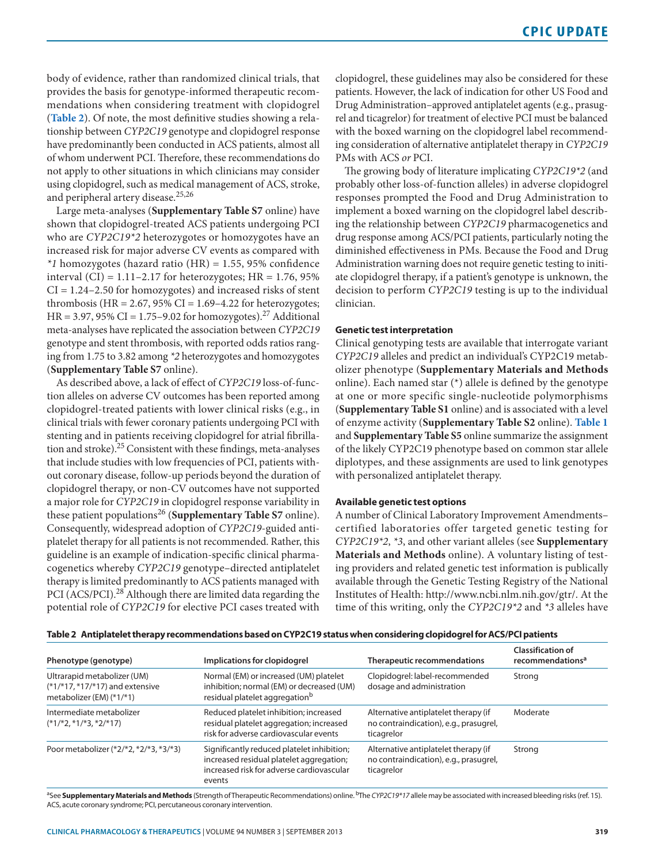body of evidence, rather than randomized clinical trials, that provides the basis for genotype-informed therapeutic recommendations when considering treatment with clopidogrel (**[Table 2](#page-2-0)**). Of note, the most definitive studies showing a relationship between *CYP2C19* genotype and clopidogrel response have predominantly been conducted in ACS patients, almost all of whom underwent PCI. Therefore, these recommendations do not apply to other situations in which clinicians may consider using clopidogrel, such as medical management of ACS, stroke, and peripheral artery disease.<sup>25,26</sup>

Large meta-analyses (**Supplementary Table S7** online) have shown that clopidogrel-treated ACS patients undergoing PCI who are *CYP2C19\*2* heterozygotes or homozygotes have an increased risk for major adverse CV events as compared with *\*1* homozygotes (hazard ratio (HR) = 1.55, 95% confidence interval (CI) =  $1.11$ – $2.17$  for heterozygotes; HR =  $1.76$ , 95%  $CI = 1.24 - 2.50$  for homozygotes) and increased risks of stent thrombosis (HR =  $2.67$ ,  $95\%$  CI =  $1.69-4.22$  for heterozygotes;  $HR = 3.97, 95\% \text{ CI} = 1.75 - 9.02 \text{ for homozygotes}.$ <sup>27</sup> Additional meta-analyses have replicated the association between *CYP2C19* genotype and stent thrombosis, with reported odds ratios ranging from 1.75 to 3.82 among *\*2* heterozygotes and homozygotes (**Supplementary Table S7** online).

As described above, a lack of effect of *CYP2C19* loss-of-function alleles on adverse CV outcomes has been reported among clopidogrel-treated patients with lower clinical risks (e.g., in clinical trials with fewer coronary patients undergoing PCI with stenting and in patients receiving clopidogrel for atrial fibrillation and stroke).25 Consistent with these findings, meta-analyses that include studies with low frequencies of PCI, patients without coronary disease, follow-up periods beyond the duration of clopidogrel therapy, or non-CV outcomes have not supported a major role for *CYP2C19* in clopidogrel response variability in these patient populations26 (**Supplementary Table S7** online). Consequently, widespread adoption of *CYP2C19*-guided antiplatelet therapy for all patients is not recommended. Rather, this guideline is an example of indication-specific clinical pharmacogenetics whereby *CYP2C19* genotype–directed antiplatelet therapy is limited predominantly to ACS patients managed with PCI (ACS/PCI).<sup>28</sup> Although there are limited data regarding the potential role of *CYP2C19* for elective PCI cases treated with clopidogrel, these guidelines may also be considered for these patients. However, the lack of indication for other US Food and Drug Administration–approved antiplatelet agents (e.g., prasugrel and ticagrelor) for treatment of elective PCI must be balanced with the boxed warning on the clopidogrel label recommending consideration of alternative antiplatelet therapy in *CYP2C19* PMs with ACS *or* PCI.

The growing body of literature implicating *CYP2C19\*2* (and probably other loss-of-function alleles) in adverse clopidogrel responses prompted the Food and Drug Administration to implement a boxed warning on the clopidogrel label describing the relationship between *CYP2C19* pharmacogenetics and drug response among ACS/PCI patients, particularly noting the diminished effectiveness in PMs. Because the Food and Drug Administration warning does not require genetic testing to initiate clopidogrel therapy, if a patient's genotype is unknown, the decision to perform *CYP2C19* testing is up to the individual clinician.

#### **Genetic test interpretation**

Clinical genotyping tests are available that interrogate variant *CYP2C19* alleles and predict an individual's CYP2C19 metabolizer phenotype (**Supplementary Materials and Methods** online). Each named star (\*) allele is defined by the genotype at one or more specific single-nucleotide polymorphisms (**Supplementary Table S1** online) and is associated with a level of enzyme activity (**Supplementary Table S2** online). **[Table 1](#page-1-0)** and **Supplementary Table S5** online summarize the assignment of the likely CYP2C19 phenotype based on common star allele diplotypes, and these assignments are used to link genotypes with personalized antiplatelet therapy.

#### **Available genetic test options**

A number of Clinical Laboratory Improvement Amendments– certified laboratories offer targeted genetic testing for *CYP2C19\*2*, *\*3*, and other variant alleles (see **Supplementary Materials and Methods** online). A voluntary listing of testing providers and related genetic test information is publically available through the Genetic Testing Registry of the National Institutes of Health: [http://www.ncbi.nlm.nih.gov/gtr/.](http://www.ncbi.nlm.nih.gov/gtr/) At the time of this writing, only the *CYP2C19\*2* and *\*3* alleles have

| Phenotype (genotype)                                                                           | Implications for clopidogrel                                                                                                                  | Therapeutic recommendations                                                                  | <b>Classification of</b><br>recommendations <sup>a</sup> |
|------------------------------------------------------------------------------------------------|-----------------------------------------------------------------------------------------------------------------------------------------------|----------------------------------------------------------------------------------------------|----------------------------------------------------------|
| Ultrarapid metabolizer (UM)<br>$(*1/*17, *17/*17)$ and extensive<br>metabolizer (EM) $(*1/*1)$ | Normal (EM) or increased (UM) platelet<br>inhibition; normal (EM) or decreased (UM)<br>residual platelet aggregation <sup>b</sup>             | Clopidogrel: label-recommended<br>dosage and administration                                  | Strong                                                   |
| Intermediate metabolizer<br>$(*1/*2, *1/*3, *2/*17)$                                           | Reduced platelet inhibition; increased<br>residual platelet aggregation; increased<br>risk for adverse cardiovascular events                  | Alternative antiplatelet therapy (if<br>no contraindication), e.g., prasugrel,<br>ticagrelor | Moderate                                                 |
| Poor metabolizer (*2/*2, *2/*3, *3/*3)                                                         | Significantly reduced platelet inhibition;<br>increased residual platelet aggregation;<br>increased risk for adverse cardiovascular<br>events | Alternative antiplatelet therapy (if<br>no contraindication), e.g., prasugrel,<br>ticagrelor | Strong                                                   |

#### <span id="page-2-0"></span>**Table 2 Antiplatelet therapy recommendations based on CYP2C19 status when considering clopidogrel for ACS/PCI patients**

aSee **Supplementary Materials and Methods** (Strength of Therapeutic Recommendations) online. bThe *CYP2C19\*17* allele may be associated with increased bleeding risks (ref. 15). ACS, acute coronary syndrome; PCI, percutaneous coronary intervention.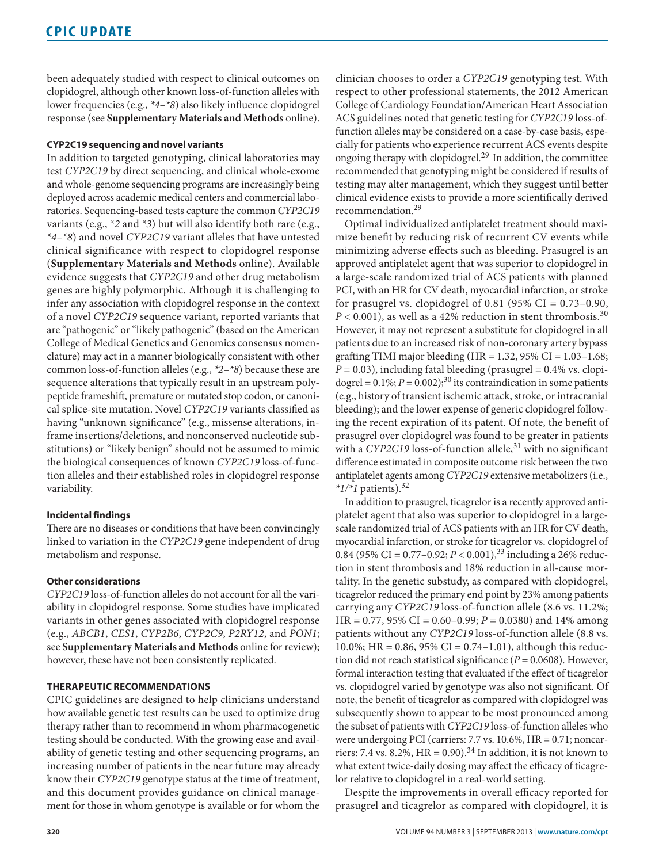been adequately studied with respect to clinical outcomes on clopidogrel, although other known loss-of-function alleles with lower frequencies (e.g., *\*4*–*\*8*) also likely influence clopidogrel response (see **Supplementary Materials and Methods** online).

#### **CYP2C19 sequencing and novel variants**

In addition to targeted genotyping, clinical laboratories may test *CYP2C19* by direct sequencing, and clinical whole-exome and whole-genome sequencing programs are increasingly being deployed across academic medical centers and commercial laboratories. Sequencing-based tests capture the common *CYP2C19* variants (e.g., *\*2* and *\*3*) but will also identify both rare (e.g., *\*4*–*\*8*) and novel *CYP2C19* variant alleles that have untested clinical significance with respect to clopidogrel response (**Supplementary Materials and Methods** online). Available evidence suggests that *CYP2C19* and other drug metabolism genes are highly polymorphic. Although it is challenging to infer any association with clopidogrel response in the context of a novel *CYP2C19* sequence variant, reported variants that are "pathogenic" or "likely pathogenic" (based on the American College of Medical Genetics and Genomics consensus nomenclature) may act in a manner biologically consistent with other common loss-of-function alleles (e.g., *\*2*–*\*8*) because these are sequence alterations that typically result in an upstream polypeptide frameshift, premature or mutated stop codon, or canonical splice-site mutation. Novel *CYP2C19* variants classified as having "unknown significance" (e.g., missense alterations, inframe insertions/deletions, and nonconserved nucleotide substitutions) or "likely benign" should not be assumed to mimic the biological consequences of known *CYP2C19* loss-of-function alleles and their established roles in clopidogrel response variability.

# **Incidental findings**

There are no diseases or conditions that have been convincingly linked to variation in the *CYP2C19* gene independent of drug metabolism and response.

#### **Other considerations**

*CYP2C19* loss-of-function alleles do not account for all the variability in clopidogrel response. Some studies have implicated variants in other genes associated with clopidogrel response (e.g., *ABCB1*, *CES1*, *CYP2B6*, *CYP2C9*, *P2RY12*, and *PON1*; see **Supplementary Materials and Methods** online for review); however, these have not been consistently replicated.

#### **THERAPEUTIC RECOMMENDATIONS**

CPIC guidelines are designed to help clinicians understand how available genetic test results can be used to optimize drug therapy rather than to recommend in whom pharmacogenetic testing should be conducted. With the growing ease and availability of genetic testing and other sequencing programs, an increasing number of patients in the near future may already know their *CYP2C19* genotype status at the time of treatment, and this document provides guidance on clinical management for those in whom genotype is available or for whom the

clinician chooses to order a *CYP2C19* genotyping test. With respect to other professional statements, the 2012 American College of Cardiology Foundation/American Heart Association ACS guidelines noted that genetic testing for *CYP2C19* loss-offunction alleles may be considered on a case-by-case basis, especially for patients who experience recurrent ACS events despite ongoing therapy with clopidogrel.<sup>29</sup> In addition, the committee recommended that genotyping might be considered if results of testing may alter management, which they suggest until better clinical evidence exists to provide a more scientifically derived recommendation.29

Optimal individualized antiplatelet treatment should maximize benefit by reducing risk of recurrent CV events while minimizing adverse effects such as bleeding. Prasugrel is an approved antiplatelet agent that was superior to clopidogrel in a large-scale randomized trial of ACS patients with planned PCI, with an HR for CV death, myocardial infarction, or stroke for prasugrel vs. clopidogrel of  $0.81$  (95% CI =  $0.73-0.90$ ,  $P < 0.001$ ), as well as a 42% reduction in stent thrombosis.<sup>30</sup> However, it may not represent a substitute for clopidogrel in all patients due to an increased risk of non-coronary artery bypass grafting TIMI major bleeding (HR =  $1.32$ ,  $95\%$  CI =  $1.03-1.68$ ;  $P = 0.03$ ), including fatal bleeding (prasugrel =  $0.4\%$  vs. clopidogrel =  $0.1\%$ ; *P* =  $0.002$ );<sup>30</sup> its contraindication in some patients (e.g., history of transient ischemic attack, stroke, or intracranial bleeding); and the lower expense of generic clopidogrel following the recent expiration of its patent. Of note, the benefit of prasugrel over clopidogrel was found to be greater in patients with a *CYP2C19* loss-of-function allele,<sup>31</sup> with no significant difference estimated in composite outcome risk between the two antiplatelet agents among *CYP2C19* extensive metabolizers (i.e.,  $*1/*1$  patients).<sup>32</sup>

In addition to prasugrel, ticagrelor is a recently approved antiplatelet agent that also was superior to clopidogrel in a largescale randomized trial of ACS patients with an HR for CV death, myocardial infarction, or stroke for ticagrelor vs. clopidogrel of 0.84 (95% CI =  $0.77-0.92$ ;  $P < 0.001$ ),<sup>33</sup> including a 26% reduction in stent thrombosis and 18% reduction in all-cause mortality. In the genetic substudy, as compared with clopidogrel, ticagrelor reduced the primary end point by 23% among patients carrying any *CYP2C19* loss-of-function allele (8.6 vs. 11.2%; HR = 0.77, 95% CI = 0.60–0.99; *P* = 0.0380) and 14% among patients without any *CYP2C19* loss-of-function allele (8.8 vs. 10.0%; HR =  $0.86$ , 95% CI =  $0.74-1.01$ ), although this reduction did not reach statistical significance  $(P = 0.0608)$ . However, formal interaction testing that evaluated if the effect of ticagrelor vs. clopidogrel varied by genotype was also not significant. Of note, the benefit of ticagrelor as compared with clopidogrel was subsequently shown to appear to be most pronounced among the subset of patients with *CYP2C19* loss-of-function alleles who were undergoing PCI (carriers: 7.7 vs. 10.6%, HR = 0.71; noncarriers: 7.4 vs. 8.2%,  $HR = 0.90$ .<sup>34</sup> In addition, it is not known to what extent twice-daily dosing may affect the efficacy of ticagrelor relative to clopidogrel in a real-world setting.

Despite the improvements in overall efficacy reported for prasugrel and ticagrelor as compared with clopidogrel, it is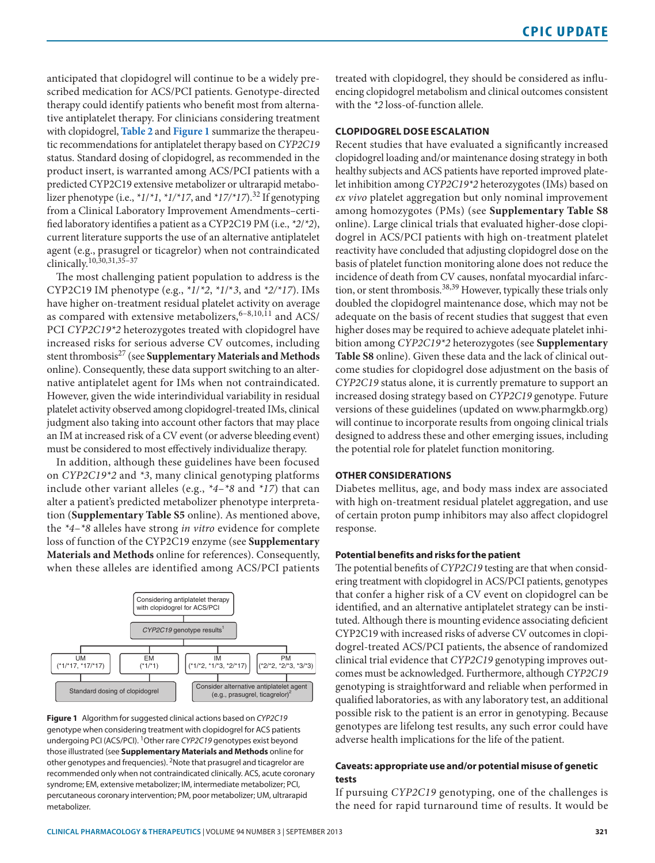anticipated that clopidogrel will continue to be a widely prescribed medication for ACS/PCI patients. Genotype-directed therapy could identify patients who benefit most from alternative antiplatelet therapy. For clinicians considering treatment with clopidogrel, **[Table 2](#page-2-0)** and **[Figure 1](#page-4-0)** summarize the therapeutic recommendations for antiplatelet therapy based on *CYP2C19* status. Standard dosing of clopidogrel, as recommended in the product insert, is warranted among ACS/PCI patients with a predicted CYP2C19 extensive metabolizer or ultrarapid metabolizer phenotype (i.e.,  $*1/*1, *1/*17$ , and  $*17/*17$ ).<sup>32</sup> If genotyping from a Clinical Laboratory Improvement Amendments–certified laboratory identifies a patient as a CYP2C19 PM (i.e., *\*2*/*\*2*), current literature supports the use of an alternative antiplatelet agent (e.g., prasugrel or ticagrelor) when not contraindicated clinically.10,30,31,35–37

The most challenging patient population to address is the CYP2C19 IM phenotype (e.g., *\*1*/*\*2*, *\*1*/\**3*, and *\*2/\*17*). IMs have higher on-treatment residual platelet activity on average as compared with extensive metabolizers,  $6-8,10,11$  and ACS/ PCI *CYP2C19\*2* heterozygotes treated with clopidogrel have increased risks for serious adverse CV outcomes, including stent thrombosis27 (see **Supplementary Materials and Methods** online). Consequently, these data support switching to an alternative antiplatelet agent for IMs when not contraindicated. However, given the wide interindividual variability in residual platelet activity observed among clopidogrel-treated IMs, clinical judgment also taking into account other factors that may place an IM at increased risk of a CV event (or adverse bleeding event) must be considered to most effectively individualize therapy.

In addition, although these guidelines have been focused on *CYP2C19\*2* and *\*3*, many clinical genotyping platforms include other variant alleles (e.g., *\*4*–*\*8* and *\*17*) that can alter a patient's predicted metabolizer phenotype interpretation (**Supplementary Table S5** online). As mentioned above, the *\*4*–*\*8* alleles have strong *in vitro* evidence for complete loss of function of the CYP2C19 enzyme (see **Supplementary Materials and Methods** online for references). Consequently, when these alleles are identified among ACS/PCI patients

<span id="page-4-0"></span>

**Figure 1** Algorithm for suggested clinical actions based on *CYP2C19* genotype when considering treatment with clopidogrel for ACS patients undergoing PCI (ACS/PCI). 1Other rare *CYP2C19* genotypes exist beyond those illustrated (see **Supplementary Materials and Methods** online for other genotypes and frequencies). 2Note that prasugrel and ticagrelor are recommended only when not contraindicated clinically. ACS, acute coronary syndrome; EM, extensive metabolizer; IM, intermediate metabolizer; PCI, percutaneous coronary intervention; PM, poor metabolizer; UM, ultrarapid metabolizer.

treated with clopidogrel, they should be considered as influencing clopidogrel metabolism and clinical outcomes consistent with the *\*2* loss-of-function allele.

# **CLOPIDOGREL DOSE ESCALATION**

Recent studies that have evaluated a significantly increased clopidogrel loading and/or maintenance dosing strategy in both healthy subjects and ACS patients have reported improved platelet inhibition among *CYP2C19\*2* heterozygotes (IMs) based on *ex vivo* platelet aggregation but only nominal improvement among homozygotes (PMs) (see **Supplementary Table S8** online). Large clinical trials that evaluated higher-dose clopidogrel in ACS/PCI patients with high on-treatment platelet reactivity have concluded that adjusting clopidogrel dose on the basis of platelet function monitoring alone does not reduce the incidence of death from CV causes, nonfatal myocardial infarction, or stent thrombosis.<sup>38,39</sup> However, typically these trials only doubled the clopidogrel maintenance dose, which may not be adequate on the basis of recent studies that suggest that even higher doses may be required to achieve adequate platelet inhibition among *CYP2C19\*2* heterozygotes (see **Supplementary Table S8** online). Given these data and the lack of clinical outcome studies for clopidogrel dose adjustment on the basis of *CYP2C19* status alone, it is currently premature to support an increased dosing strategy based on *CYP2C19* genotype. Future versions of these guidelines (updated on [www.pharmgkb.org\)](www.pharmgkb.org) will continue to incorporate results from ongoing clinical trials designed to address these and other emerging issues, including the potential role for platelet function monitoring.

### **OTHER CONSIDERATIONS**

Diabetes mellitus, age, and body mass index are associated with high on-treatment residual platelet aggregation, and use of certain proton pump inhibitors may also affect clopidogrel response.

#### **Potential benefits and risks for the patient**

The potential benefits of *CYP2C19* testing are that when considering treatment with clopidogrel in ACS/PCI patients, genotypes that confer a higher risk of a CV event on clopidogrel can be identified, and an alternative antiplatelet strategy can be instituted. Although there is mounting evidence associating deficient CYP2C19 with increased risks of adverse CV outcomes in clopidogrel-treated ACS/PCI patients, the absence of randomized clinical trial evidence that *CYP2C19* genotyping improves outcomes must be acknowledged. Furthermore, although *CYP2C19* genotyping is straightforward and reliable when performed in qualified laboratories, as with any laboratory test, an additional possible risk to the patient is an error in genotyping. Because genotypes are lifelong test results, any such error could have adverse health implications for the life of the patient.

## **Caveats: appropriate use and/or potential misuse of genetic tests**

If pursuing *CYP2C19* genotyping, one of the challenges is the need for rapid turnaround time of results. It would be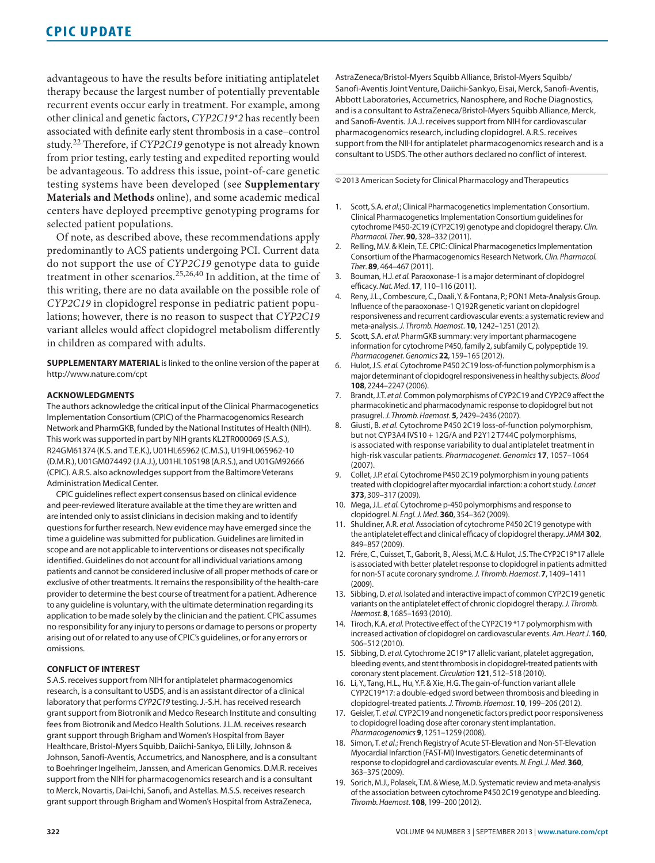advantageous to have the results before initiating antiplatelet therapy because the largest number of potentially preventable recurrent events occur early in treatment. For example, among other clinical and genetic factors, *CYP2C19\*2* has recently been associated with definite early stent thrombosis in a case–control study.22 Therefore, if *CYP2C19* genotype is not already known from prior testing, early testing and expedited reporting would be advantageous. To address this issue, point-of-care genetic testing systems have been developed (see **Supplementary Materials and Methods** online), and some academic medical centers have deployed preemptive genotyping programs for selected patient populations.

Of note, as described above, these recommendations apply predominantly to ACS patients undergoing PCI. Current data do not support the use of *CYP2C19* genotype data to guide treatment in other scenarios.25,26,40 In addition, at the time of this writing, there are no data available on the possible role of *CYP2C19* in clopidogrel response in pediatric patient populations; however, there is no reason to suspect that *CYP2C19* variant alleles would affect clopidogrel metabolism differently in children as compared with adults.

**SUPPLEMENTARY MATERIAL** is linked to the online version of the paper at <http://www.nature.com/cpt>

#### **ACKNOWLEDGMENTS**

The authors acknowledge the critical input of the Clinical Pharmacogenetics Implementation Consortium (CPIC) of the Pharmacogenomics Research Network and PharmGKB, funded by the National Institutes of Health (NIH). This work was supported in part by NIH grants KL2TR000069 (S.A.S.), R24GM61374 (K.S. and T.E.K.), U01HL65962 (C.M.S.), U19HL065962-10 (D.M.R.), U01GM074492 (J.A.J.), U01HL105198 (A.R.S.), and U01GM92666 (CPIC). A.R.S. also acknowledges support from the Baltimore Veterans Administration Medical Center.

CPIC guidelines reflect expert consensus based on clinical evidence and peer-reviewed literature available at the time they are written and are intended only to assist clinicians in decision making and to identify questions for further research. New evidence may have emerged since the time a guideline was submitted for publication. Guidelines are limited in scope and are not applicable to interventions or diseases not specifically identified. Guidelines do not account for all individual variations among patients and cannot be considered inclusive of all proper methods of care or exclusive of other treatments. It remains the responsibility of the health-care provider to determine the best course of treatment for a patient. Adherence to any guideline is voluntary, with the ultimate determination regarding its application to be made solely by the clinician and the patient. CPIC assumes no responsibility for any injury to persons or damage to persons or property arising out of or related to any use of CPIC's guidelines, or for any errors or omissions.

#### **CONFLICT OF INTEREST**

S.A.S. receives support from NIH for antiplatelet pharmacogenomics research, is a consultant to USDS, and is an assistant director of a clinical laboratory that performs *CYP2C19* testing. J.-S.H. has received research grant support from Biotronik and Medco Research Institute and consulting fees from Biotronik and Medco Health Solutions. J.L.M. receives research grant support through Brigham and Women's Hospital from Bayer Healthcare, Bristol-Myers Squibb, Daiichi-Sankyo, Eli Lilly, Johnson & Johnson, Sanofi-Aventis, Accumetrics, and Nanosphere, and is a consultant to Boehringer Ingelheim, Janssen, and American Genomics. D.M.R. receives support from the NIH for pharmacogenomics research and is a consultant to Merck, Novartis, Dai-Ichi, Sanofi, and Astellas. M.S.S. receives research grant support through Brigham and Women's Hospital from AstraZeneca,

AstraZeneca/Bristol-Myers Squibb Alliance, Bristol-Myers Squibb/ Sanofi-Aventis Joint Venture, Daiichi-Sankyo, Eisai, Merck, Sanofi-Aventis, Abbott Laboratories, Accumetrics, Nanosphere, and Roche Diagnostics, and is a consultant to AstraZeneca/Bristol-Myers Squibb Alliance, Merck, and Sanofi-Aventis. J.A.J. receives support from NIH for cardiovascular pharmacogenomics research, including clopidogrel. A.R.S. receives support from the NIH for antiplatelet pharmacogenomics research and is a consultant to USDS. The other authors declared no conflict of interest.

© 2013 American Society for Clinical Pharmacology and Therapeutics

- 1. Scott, S.A. *et al.*; Clinical Pharmacogenetics Implementation Consortium. Clinical Pharmacogenetics Implementation Consortium guidelines for cytochrome P450-2C19 (CYP2C19) genotype and clopidogrel therapy. *Clin. Pharmacol. Ther*. **90**, 328–332 (2011).
- 2. Relling, M.V. & Klein, T.E. CPIC: Clinical Pharmacogenetics Implementation Consortium of the Pharmacogenomics Research Network. *Clin. Pharmacol. Ther*. **89**, 464–467 (2011).
- 3. Bouman, H.J. *et al.* Paraoxonase-1 is a major determinant of clopidogrel efficacy. *Nat. Med*. **17**, 110–116 (2011).
- Reny, J.L., Combescure, C., Daali, Y. & Fontana, P.; PON1 Meta-Analysis Group. Influence of the paraoxonase-1 Q192R genetic variant on clopidogrel responsiveness and recurrent cardiovascular events: a systematic review and meta-analysis. *J. Thromb. Haemost*. **10**, 1242–1251 (2012).
- 5. Scott, S.A. *et al.* PharmGKB summary: very important pharmacogene information for cytochrome P450, family 2, subfamily C, polypeptide 19. *Pharmacogenet. Genomics* **22**, 159–165 (2012).
- 6. Hulot, J.S. *et al.* Cytochrome P450 2C19 loss-of-function polymorphism is a major determinant of clopidogrel responsiveness in healthy subjects. *Blood* **108**, 2244–2247 (2006).
- 7. Brandt, J.T. *et al.* Common polymorphisms of CYP2C19 and CYP2C9 affect the pharmacokinetic and pharmacodynamic response to clopidogrel but not prasugrel. *J. Thromb. Haemost*. **5**, 2429–2436 (2007).
- 8. Giusti, B. *et al.* Cytochrome P450 2C19 loss-of-function polymorphism, but not CYP3A4 IVS10 + 12G/A and P2Y12 T744C polymorphisms, is associated with response variability to dual antiplatelet treatment in high-risk vascular patients. *Pharmacogenet. Genomics* **17**, 1057–1064 (2007).
- 9. Collet, J.P. *et al.* Cytochrome P450 2C19 polymorphism in young patients treated with clopidogrel after myocardial infarction: a cohort study. *Lancet* **373**, 309–317 (2009).
- 10. Mega, J.L. *et al.* Cytochrome p-450 polymorphisms and response to clopidogrel. *N. Engl. J. Med*. **360**, 354–362 (2009).
- 11. Shuldiner, A.R. *et al.* Association of cytochrome P450 2C19 genotype with the antiplatelet effect and clinical efficacy of clopidogrel therapy. *JAMA* **302**, 849–857 (2009).
- 12. Frére, C., Cuisset, T., Gaborit, B., Alessi, M.C. & Hulot, J.S. The CYP2C19\*17 allele is associated with better platelet response to clopidogrel in patients admitted for non-ST acute coronary syndrome. *J. Thromb. Haemost*. **7**, 1409–1411 (2009).
- 13. Sibbing, D. *et al.* Isolated and interactive impact of common CYP2C19 genetic variants on the antiplatelet effect of chronic clopidogrel therapy. *J. Thromb. Haemost*. **8**, 1685–1693 (2010).
- 14. Tiroch, K.A. *et al.* Protective effect of the CYP2C19 \*17 polymorphism with increased activation of clopidogrel on cardiovascular events. *Am. Heart J*. **160**, 506–512 (2010).
- 15. Sibbing, D. *et al.* Cytochrome 2C19\*17 allelic variant, platelet aggregation, bleeding events, and stent thrombosis in clopidogrel-treated patients with coronary stent placement. *Circulation* **121**, 512–518 (2010).
- 16. Li, Y., Tang, H.L., Hu, Y.F. & Xie, H.G. The gain-of-function variant allele CYP2C19\*17: a double-edged sword between thrombosis and bleeding in clopidogrel-treated patients. *J. Thromb. Haemost*. **10**, 199–206 (2012).
- 17. Geisler, T. *et al.* CYP2C19 and nongenetic factors predict poor responsiveness to clopidogrel loading dose after coronary stent implantation. *Pharmacogenomics* **9**, 1251–1259 (2008).
- 18. Simon, T. *et al.*; French Registry of Acute ST-Elevation and Non-ST-Elevation Myocardial Infarction (FAST-MI) Investigators. Genetic determinants of response to clopidogrel and cardiovascular events. *N. Engl. J. Med*. **360**, 363–375 (2009).
- 19. Sorich, M.J., Polasek, T.M. & Wiese, M.D. Systematic review and meta-analysis of the association between cytochrome P450 2C19 genotype and bleeding. *Thromb. Haemost*. **108**, 199–200 (2012).